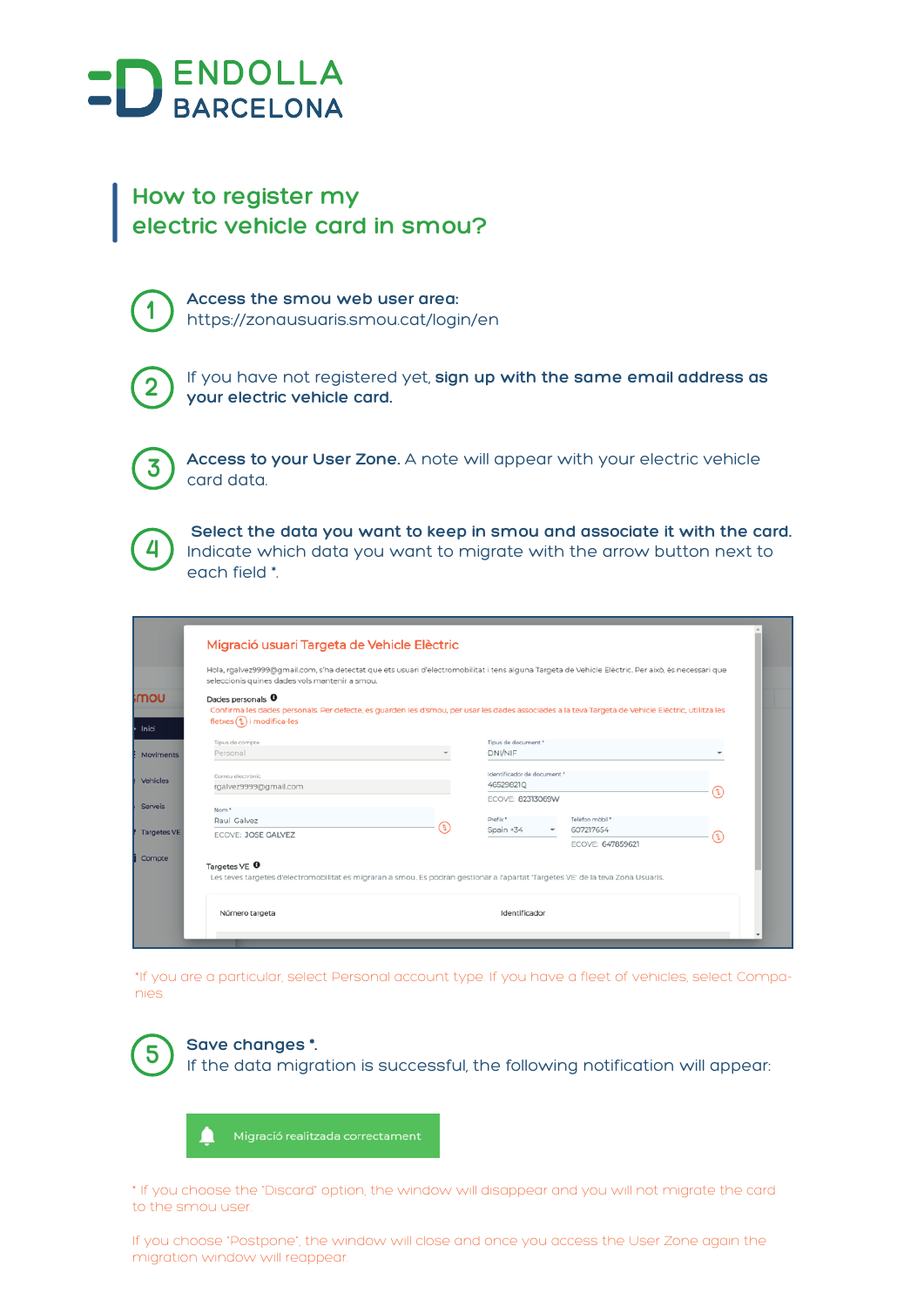

## **How to register my electric vehicle card in smou?**



**1 Access the smou web user area:**  https://zonausuaris.smou.cat/login/en



**2** If you have not registered yet, **sign up with the same email address as your electric vehicle card.**



**3 Access to your User Zone.** A note will appear with your electric vehicle card data.



 **Select the data you want to keep in smou and associate it with the card.**  Indicate which data you want to migrate with the arrow button next to each field \*.

|                    | Migració usuari Targeta de Vehicle Elèctric                                                                                                                 |  |                                                                                                                                                     |   |  |  |
|--------------------|-------------------------------------------------------------------------------------------------------------------------------------------------------------|--|-----------------------------------------------------------------------------------------------------------------------------------------------------|---|--|--|
|                    | seleccionis quines dades vols mantenir a smou.                                                                                                              |  | Hola, rgalvez9999@gmail.com, s'ha detectat que ets usuari d'electromobilitat i tens alguna Targeta de Vehicle Elèctric. Per això, és necessari que  |   |  |  |
| <b>UOM</b>         | Dades personals <sup>0</sup><br>fletxes (1) i modifica-les                                                                                                  |  | Confirma les dades personals. Per defecte, es guarden les d'smou, per usar les dades associades a la teva Targeta de Vehicle Elèctric, utilitza les |   |  |  |
|                    | Tipus de compte                                                                                                                                             |  | Tipus de document *                                                                                                                                 |   |  |  |
| Moviments          | Personal                                                                                                                                                    |  | DNI/NIF                                                                                                                                             |   |  |  |
| Vehicles           | Correu electrònic                                                                                                                                           |  | Identificador de document *                                                                                                                         |   |  |  |
|                    | rgalvez9999@gmail.com                                                                                                                                       |  | 46529821Q                                                                                                                                           | α |  |  |
| <b>Serveis</b>     | Nom <sup>*</sup>                                                                                                                                            |  | ECOVE: 82313069W                                                                                                                                    |   |  |  |
|                    | Raul Galvez                                                                                                                                                 |  | Prefix *<br>Telèfon mòbil *                                                                                                                         |   |  |  |
| <b>Targetes VE</b> | ECOVE: JOSE GALVEZ                                                                                                                                          |  | Spain +34<br>607217654                                                                                                                              |   |  |  |
|                    |                                                                                                                                                             |  | <b>ECOVE: 647859621</b>                                                                                                                             |   |  |  |
| Compte             | Targetes $VE$ $\bullet$<br>Les teves targetes d'electromobilitat es migraran a smou. Es podran gestionar a l'apartat 'Targetes VE' de la teva Zona Usuaris. |  |                                                                                                                                                     |   |  |  |
|                    |                                                                                                                                                             |  |                                                                                                                                                     |   |  |  |

\*If you are a particular, select Personal account type. If you have a fleet of vehicles, select Companies.



\* If you choose the "Discard" option, the window will disappear and you will not migrate the card to the smou user.

If you choose "Postpone", the window will close and once you access the User Zone again the migration window will reappear.